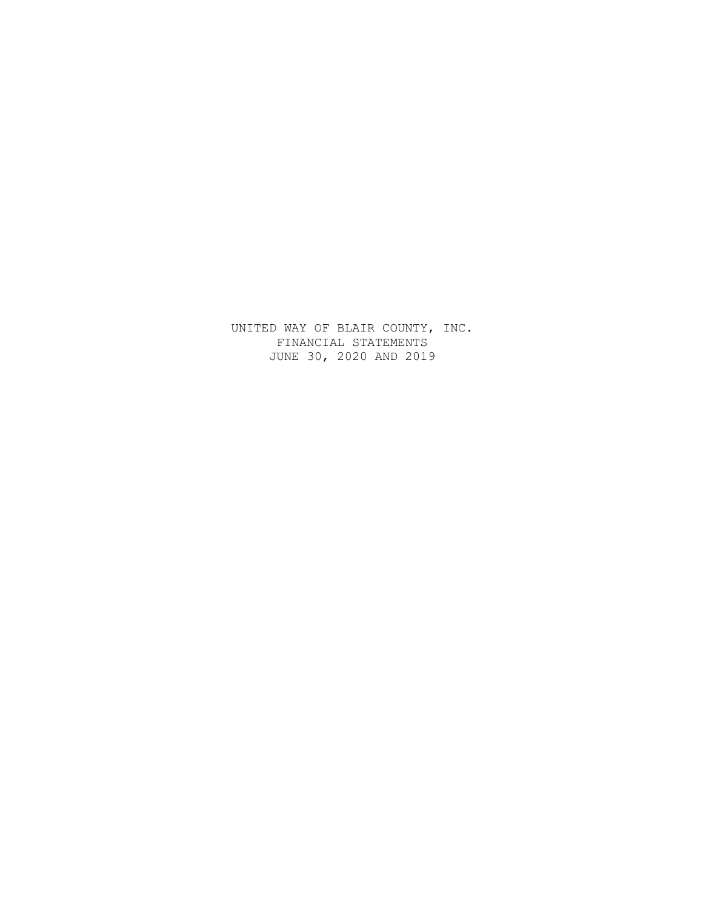UNITED WAY OF BLAIR COUNTY, INC. FINANCIAL STATEMENTS JUNE 30, 2020 AND 2019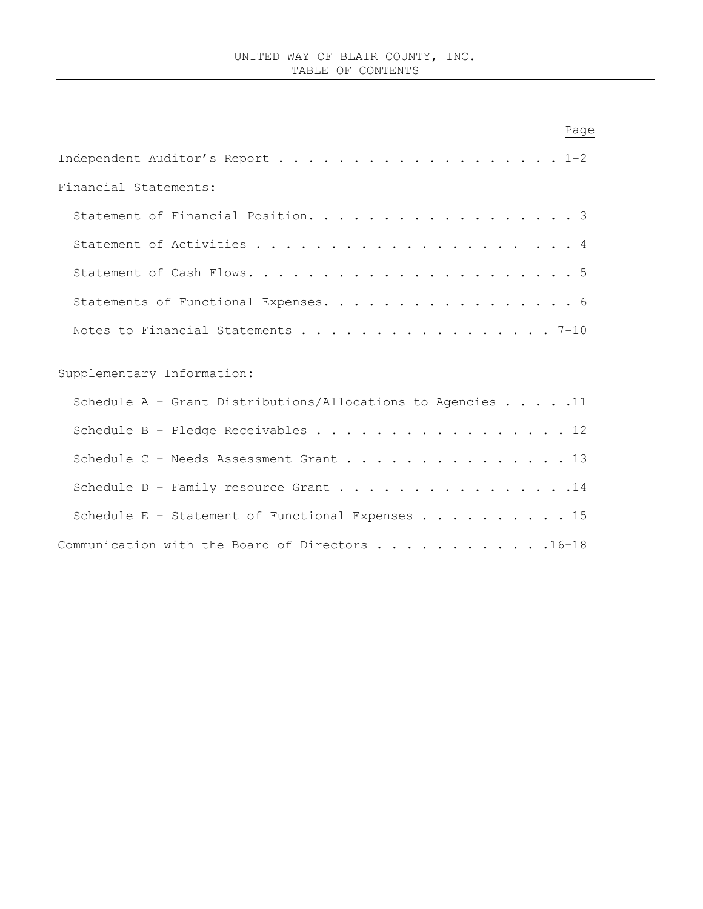| Page                                                                 |
|----------------------------------------------------------------------|
| Independent Auditor's Report 1-2                                     |
| Financial Statements:                                                |
| Statement of Financial Position. 3                                   |
|                                                                      |
|                                                                      |
| Statements of Functional Expenses. 6                                 |
| Notes to Financial Statements 7-10                                   |
|                                                                      |
| Supplementary Information:                                           |
| Schedule A - Grant Distributions/Allocations to Agencies $\ldots$ 11 |
| Schedule B - Pledge Receivables 12                                   |
| Schedule C - Needs Assessment Grant 13                               |
| Schedule D - Family resource Grant 14                                |
| Schedule E - Statement of Functional Expenses 15                     |
| Communication with the Board of Directors 16-18                      |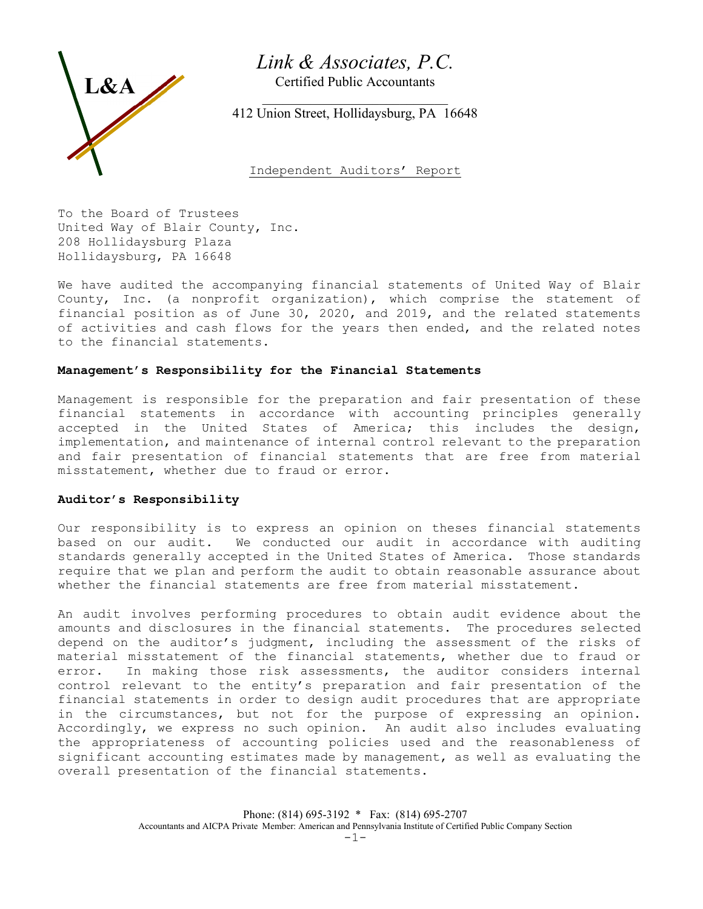# Link & Associates, P.C.

Certified Public Accountants



 $\mathcal{L}_\text{max}$  , and the set of the set of the set of the set of the set of the set of the set of the set of the set of the set of the set of the set of the set of the set of the set of the set of the set of the set of the 412 Union Street, Hollidaysburg, PA 16648

Independent Auditors' Report

To the Board of Trustees United Way of Blair County, Inc. 208 Hollidaysburg Plaza Hollidaysburg, PA 16648

We have audited the accompanying financial statements of United Way of Blair County, Inc. (a nonprofit organization), which comprise the statement of financial position as of June 30, 2020, and 2019, and the related statements of activities and cash flows for the years then ended, and the related notes to the financial statements.

## Management's Responsibility for the Financial Statements

Management is responsible for the preparation and fair presentation of these financial statements in accordance with accounting principles generally accepted in the United States of America; this includes the design, implementation, and maintenance of internal control relevant to the preparation and fair presentation of financial statements that are free from material misstatement, whether due to fraud or error.

## Auditor's Responsibility

Our responsibility is to express an opinion on theses financial statements based on our audit. We conducted our audit in accordance with auditing standards generally accepted in the United States of America. Those standards require that we plan and perform the audit to obtain reasonable assurance about whether the financial statements are free from material misstatement.

An audit involves performing procedures to obtain audit evidence about the amounts and disclosures in the financial statements. The procedures selected depend on the auditor's judgment, including the assessment of the risks of material misstatement of the financial statements, whether due to fraud or error. In making those risk assessments, the auditor considers internal control relevant to the entity's preparation and fair presentation of the financial statements in order to design audit procedures that are appropriate in the circumstances, but not for the purpose of expressing an opinion. Accordingly, we express no such opinion. An audit also includes evaluating the appropriateness of accounting policies used and the reasonableness of significant accounting estimates made by management, as well as evaluating the overall presentation of the financial statements.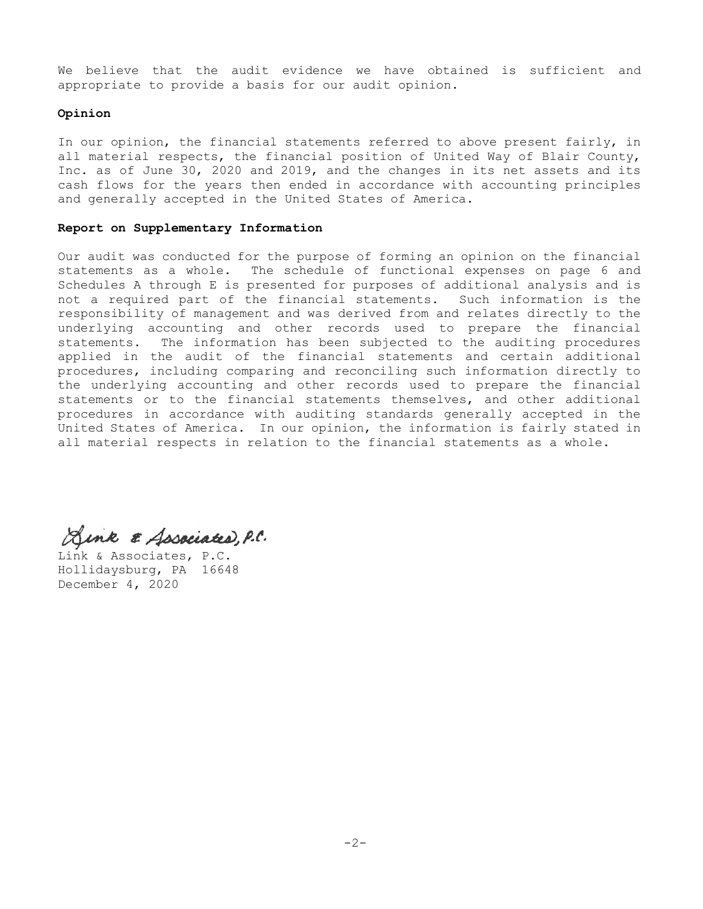We believe that the audit evidence we have obtained is sufficient and appropriate to provide a basis for our audit opinion.

## Opinion

In our opinion, the financial statements referred to above present fairly, in all material respects, the financial position of United Way of Blair County, Inc. as of June 30, 2020 and 2019, and the changes in its net assets and its cash flows for the years then ended in accordance with accounting principles and generally accepted in the United States of America.

## Report on Supplementary Information

Our audit was conducted for the purpose of forming an opinion on the financial statements as a whole. The schedule of functional expenses on page 6 and Schedules A through E is presented for purposes of additional analysis and is not a required part of the financial statements. Such information is the responsibility of management and was derived from and relates directly to the underlying accounting and other records used to prepare the financial statements. The information has been subjected to the auditing procedures applied in the audit of the financial statements and certain additional procedures, including comparing and reconciling such information directly to the underlying accounting and other records used to prepare the financial statements or to the financial statements themselves, and other additional procedures in accordance with auditing standards generally accepted in the United States of America. In our opinion, the information is fairly stated in all material respects in relation to the financial statements as a whole.

Aink & Associated, P.C.

Link & Associates, P.C. Hollidaysburg, PA 16648 December 4, 2020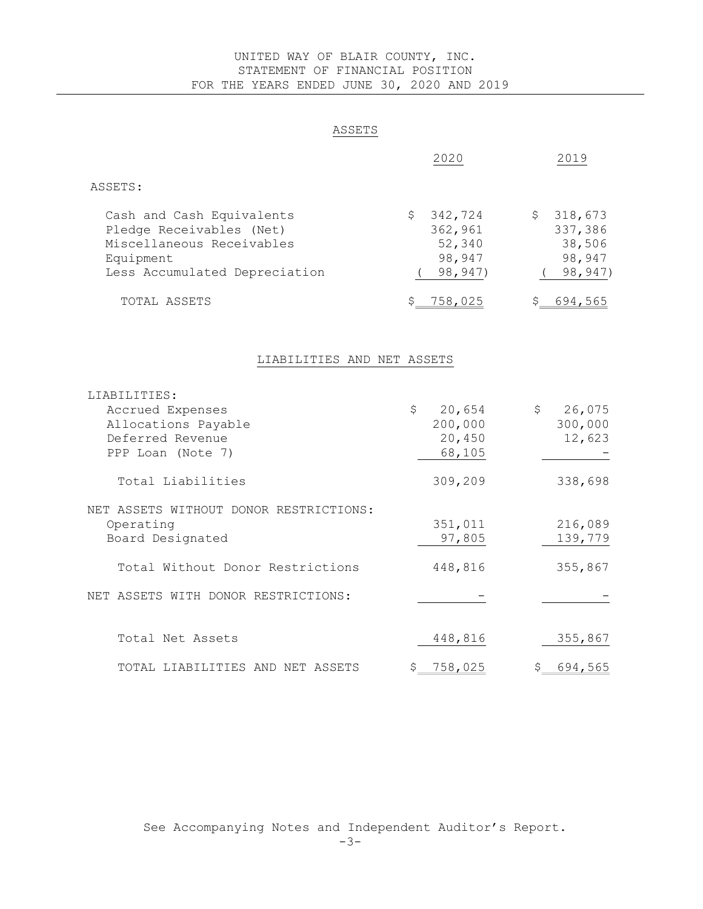# UNITED WAY OF BLAIR COUNTY, INC. STATEMENT OF FINANCIAL POSITION FOR THE YEARS ENDED JUNE 30, 2020 AND 2019

# ASSETS

|                                                                                                                                  | 2020                                                    | 2019                                                         |
|----------------------------------------------------------------------------------------------------------------------------------|---------------------------------------------------------|--------------------------------------------------------------|
| ASSETS:                                                                                                                          |                                                         |                                                              |
| Cash and Cash Equivalents<br>Pledge Receivables (Net)<br>Miscellaneous Receivables<br>Equipment<br>Less Accumulated Depreciation | 342,724<br>\$<br>362,961<br>52,340<br>98,947<br>98,947) | $\zeta$<br>318,673<br>337,386<br>38,506<br>98,947<br>98,947) |
| TOTAL ASSETS                                                                                                                     | 758,025<br>Ş.                                           | 694,565<br>\$                                                |
| LIABILITIES AND NET ASSETS                                                                                                       |                                                         |                                                              |
| LIABILITIES:<br>Accrued Expenses<br>Allocations Payable<br>Deferred Revenue<br>PPP Loan (Note 7)                                 | \$<br>20,654<br>200,000<br>20,450<br>68,105             | \$<br>26,075<br>300,000<br>12,623                            |
| Total Liabilities                                                                                                                | 309,209                                                 | 338,698                                                      |
| NET ASSETS WITHOUT DONOR RESTRICTIONS:<br>Operating<br>Board Designated                                                          | 351,011<br>97,805                                       | 216,089<br>139,779                                           |
| Total Without Donor Restrictions                                                                                                 | 448,816                                                 | 355,867                                                      |
| NET ASSETS WITH DONOR RESTRICTIONS:                                                                                              |                                                         |                                                              |
| Total Net Assets                                                                                                                 | 448,816                                                 | 355,867                                                      |
| TOTAL LIABILITIES AND NET ASSETS                                                                                                 | 758,025<br>\$                                           | 694,565<br>\$                                                |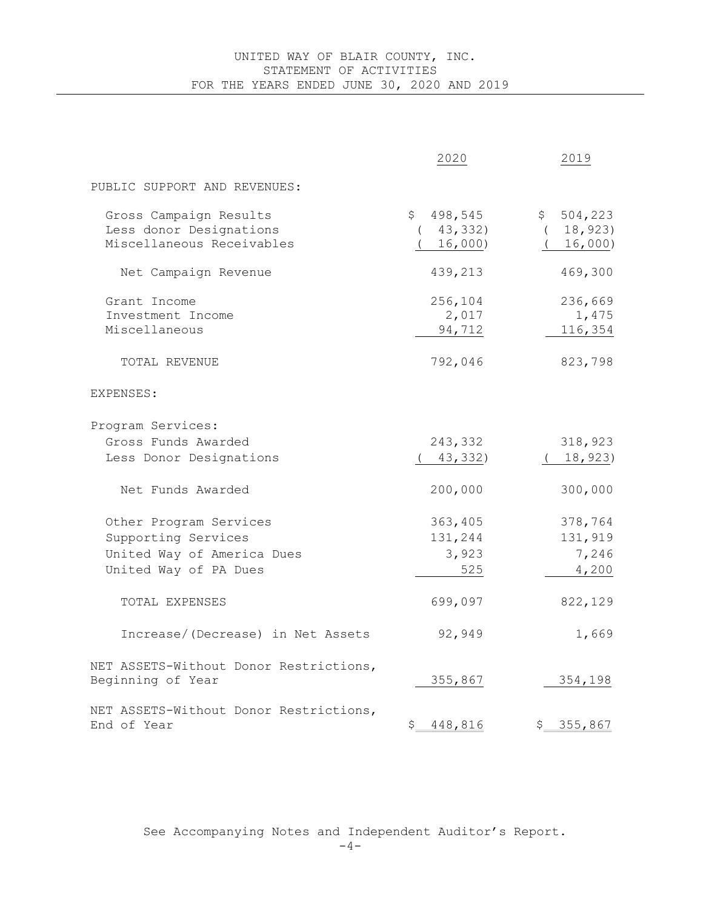# UNITED WAY OF BLAIR COUNTY, INC. STATEMENT OF ACTIVITIES FOR THE YEARS ENDED JUNE 30, 2020 AND 2019

|                                                                                                      | 2020                                  | 2019                                          |
|------------------------------------------------------------------------------------------------------|---------------------------------------|-----------------------------------------------|
| PUBLIC SUPPORT AND REVENUES:                                                                         |                                       |                                               |
| Gross Campaign Results<br>Less donor Designations<br>Miscellaneous Receivables                       | 498,545<br>\$<br>43,332)<br>16,000)   | 504,223<br>$\mathsf{S}$<br>18,923)<br>16,000) |
| Net Campaign Revenue                                                                                 | 439,213                               | 469,300                                       |
| Grant Income<br>Investment Income<br>Miscellaneous<br>TOTAL REVENUE                                  | 256,104<br>2,017<br>94,712<br>792,046 | 236,669<br>1,475<br>116,354<br>823,798        |
| EXPENSES:                                                                                            |                                       |                                               |
| Program Services:<br>Gross Funds Awarded<br>Less Donor Designations                                  | 243,332<br>43,332)                    | 318,923<br>(18, 923)                          |
| Net Funds Awarded                                                                                    | 200,000                               | 300,000                                       |
| Other Program Services<br>Supporting Services<br>United Way of America Dues<br>United Way of PA Dues | 363,405<br>131,244<br>3,923<br>525    | 378,764<br>131,919<br>7,246<br>4,200          |
| TOTAL EXPENSES                                                                                       | 699,097                               | 822,129                                       |
| Increase/(Decrease) in Net Assets                                                                    | 92,949                                | 1,669                                         |
| NET ASSETS-Without Donor Restrictions,<br>Beginning of Year                                          | 355,867                               | 354,198                                       |
| NET ASSETS-Without Donor Restrictions,<br>End of Year                                                | \$<br>448,816                         | 355,867<br>Ş.                                 |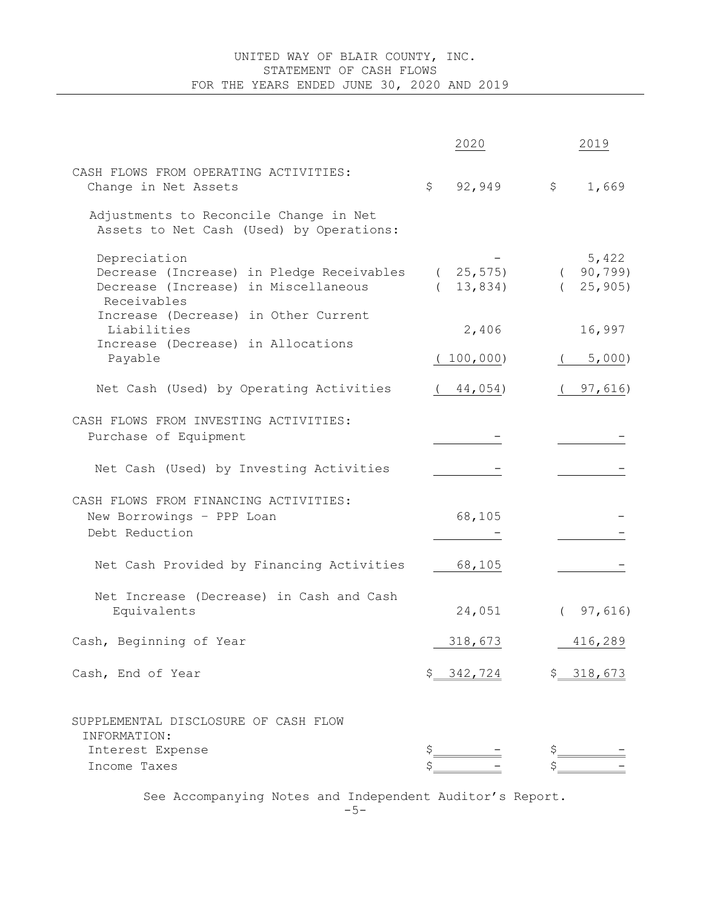# UNITED WAY OF BLAIR COUNTY, INC. STATEMENT OF CASH FLOWS FOR THE YEARS ENDED JUNE 30, 2020 AND 2019

|                                                                                                                  | 2020                   | 2019                            |
|------------------------------------------------------------------------------------------------------------------|------------------------|---------------------------------|
| CASH FLOWS FROM OPERATING ACTIVITIES:<br>Change in Net Assets                                                    | 92,949<br>\$           | \$<br>1,669                     |
| Adjustments to Reconcile Change in Net<br>Assets to Net Cash (Used) by Operations:                               |                        |                                 |
| Depreciation<br>Decrease (Increase) in Pledge Receivables<br>Decrease (Increase) in Miscellaneous<br>Receivables | (25, 575)<br>(13, 834) | 5,422<br>(90, 799)<br>(25, 905) |
| Increase (Decrease) in Other Current<br>Liabilities<br>Increase (Decrease) in Allocations                        | 2,406                  | 16,997                          |
| Payable                                                                                                          | 100,000                | 5,000                           |
| Net Cash (Used) by Operating Activities                                                                          | 44,054)                | 97,616)                         |
| CASH FLOWS FROM INVESTING ACTIVITIES:<br>Purchase of Equipment                                                   |                        |                                 |
| Net Cash (Used) by Investing Activities                                                                          |                        |                                 |
| CASH FLOWS FROM FINANCING ACTIVITIES:<br>New Borrowings - PPP Loan<br>Debt Reduction                             | 68,105                 |                                 |
| Net Cash Provided by Financing Activities                                                                        | 68,105                 |                                 |
| Net Increase (Decrease) in Cash and Cash<br>Equivalents                                                          | 24,051                 | (97, 616)                       |
| Cash, Beginning of Year                                                                                          | 318,673                | 416,289                         |
| Cash, End of Year                                                                                                | \$342,724              | \$318,673                       |
| SUPPLEMENTAL DISCLOSURE OF CASH FLOW<br>INFORMATION:<br>Interest Expense                                         |                        |                                 |
| Income Taxes                                                                                                     |                        |                                 |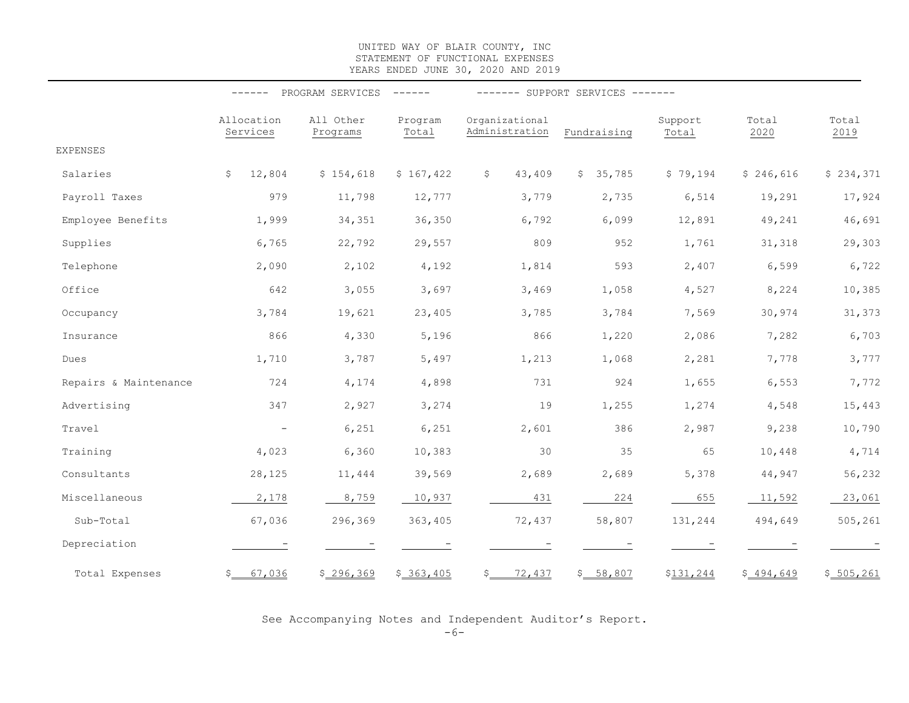#### UNITED WAY OF BLAIR COUNTY, INC STATEMENT OF FUNCTIONAL EXPENSES YEARS ENDED JUNE 30, 2020 AND 2019

|                       | PROGRAM SERVICES<br>------<br>$- - - - - - -$ |                       |                  | ------- SUPPORT SERVICES ------- |                        |                  |               |               |
|-----------------------|-----------------------------------------------|-----------------------|------------------|----------------------------------|------------------------|------------------|---------------|---------------|
|                       | Allocation<br>Services                        | All Other<br>Programs | Program<br>Total | Organizational<br>Administration | Fundraising            | Support<br>Total | Total<br>2020 | Total<br>2019 |
| <b>EXPENSES</b>       |                                               |                       |                  |                                  |                        |                  |               |               |
| Salaries              | \$<br>12,804                                  | \$154,618             | \$167,422        | 43,409<br>\$                     | 35,785<br>$\mathsf{S}$ | \$79,194         | \$246,616     | \$234,371     |
| Payroll Taxes         | 979                                           | 11,798                | 12,777           | 3,779                            | 2,735                  | 6,514            | 19,291        | 17,924        |
| Employee Benefits     | 1,999                                         | 34,351                | 36,350           | 6,792                            | 6,099                  | 12,891           | 49,241        | 46,691        |
| Supplies              | 6,765                                         | 22,792                | 29,557           | 809                              | 952                    | 1,761            | 31,318        | 29,303        |
| Telephone             | 2,090                                         | 2,102                 | 4,192            | 1,814                            | 593                    | 2,407            | 6,599         | 6,722         |
| Office                | 642                                           | 3,055                 | 3,697            | 3,469                            | 1,058                  | 4,527            | 8,224         | 10,385        |
| Occupancy             | 3,784                                         | 19,621                | 23,405           | 3,785                            | 3,784                  | 7,569            | 30,974        | 31,373        |
| Insurance             | 866                                           | 4,330                 | 5,196            | 866                              | 1,220                  | 2,086            | 7,282         | 6,703         |
| Dues                  | 1,710                                         | 3,787                 | 5,497            | 1,213                            | 1,068                  | 2,281            | 7,778         | 3,777         |
| Repairs & Maintenance | 724                                           | 4,174                 | 4,898            | 731                              | 924                    | 1,655            | 6,553         | 7,772         |
| Advertising           | 347                                           | 2,927                 | 3,274            | 19                               | 1,255                  | 1,274            | 4,548         | 15,443        |
| Travel                | $\overline{\phantom{m}}$                      | 6,251                 | 6,251            | 2,601                            | 386                    | 2,987            | 9,238         | 10,790        |
| Training              | 4,023                                         | 6,360                 | 10,383           | 30                               | 35                     | 65               | 10,448        | 4,714         |
| Consultants           | 28,125                                        | 11,444                | 39,569           | 2,689                            | 2,689                  | 5,378            | 44,947        | 56,232        |
| Miscellaneous         | 2,178                                         | 8,759                 | 10,937           | 431                              | 224                    | 655              | 11,592        | 23,061        |
| Sub-Total             | 67,036                                        | 296,369               | 363,405          | 72,437                           | 58,807                 | 131,244          | 494,649       | 505, 261      |
| Depreciation          |                                               |                       |                  |                                  |                        |                  |               |               |
| Total Expenses        | 67,036<br>\$                                  | \$296,369             | \$363,405        | $\mathsf{S}$<br>72,437           | \$ 58,807              | \$131,244        | \$494,649     | \$ 505, 261   |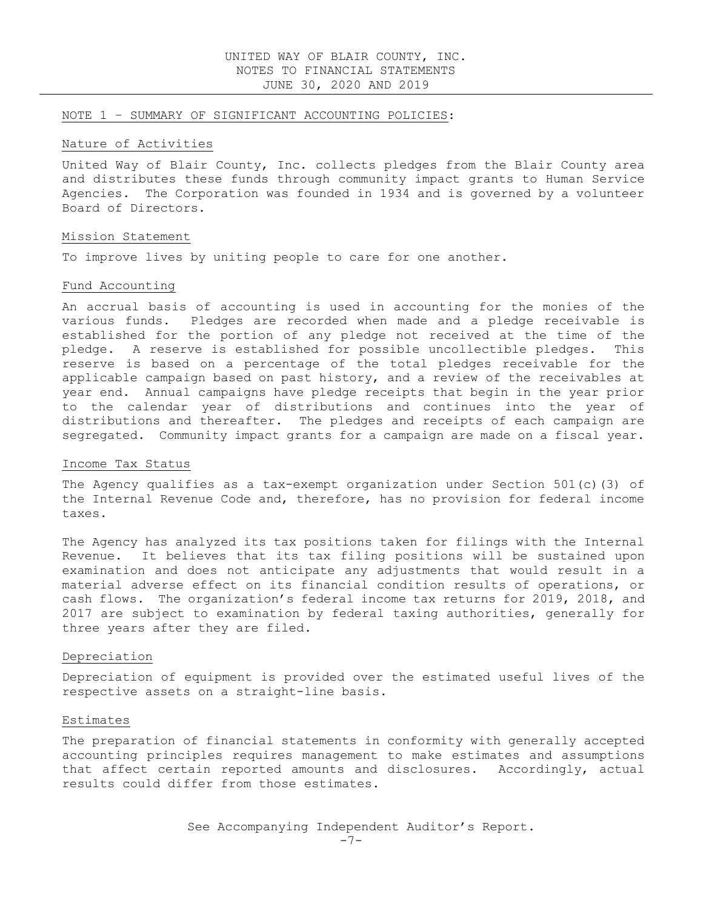#### NOTE 1 – SUMMARY OF SIGNIFICANT ACCOUNTING POLICIES:

#### Nature of Activities

United Way of Blair County, Inc. collects pledges from the Blair County area and distributes these funds through community impact grants to Human Service Agencies. The Corporation was founded in 1934 and is governed by a volunteer Board of Directors.

#### Mission Statement

To improve lives by uniting people to care for one another.

#### Fund Accounting

An accrual basis of accounting is used in accounting for the monies of the various funds. Pledges are recorded when made and a pledge receivable is established for the portion of any pledge not received at the time of the pledge. A reserve is established for possible uncollectible pledges. This reserve is based on a percentage of the total pledges receivable for the applicable campaign based on past history, and a review of the receivables at year end. Annual campaigns have pledge receipts that begin in the year prior to the calendar year of distributions and continues into the year of distributions and thereafter. The pledges and receipts of each campaign are segregated. Community impact grants for a campaign are made on a fiscal year.

#### Income Tax Status

The Agency qualifies as a tax-exempt organization under Section 501(c)(3) of the Internal Revenue Code and, therefore, has no provision for federal income taxes.

The Agency has analyzed its tax positions taken for filings with the Internal Revenue. It believes that its tax filing positions will be sustained upon examination and does not anticipate any adjustments that would result in a material adverse effect on its financial condition results of operations, or cash flows. The organization's federal income tax returns for 2019, 2018, and 2017 are subject to examination by federal taxing authorities, generally for three years after they are filed.

#### Depreciation

Depreciation of equipment is provided over the estimated useful lives of the respective assets on a straight-line basis.

#### Estimates

The preparation of financial statements in conformity with generally accepted accounting principles requires management to make estimates and assumptions that affect certain reported amounts and disclosures. Accordingly, actual results could differ from those estimates.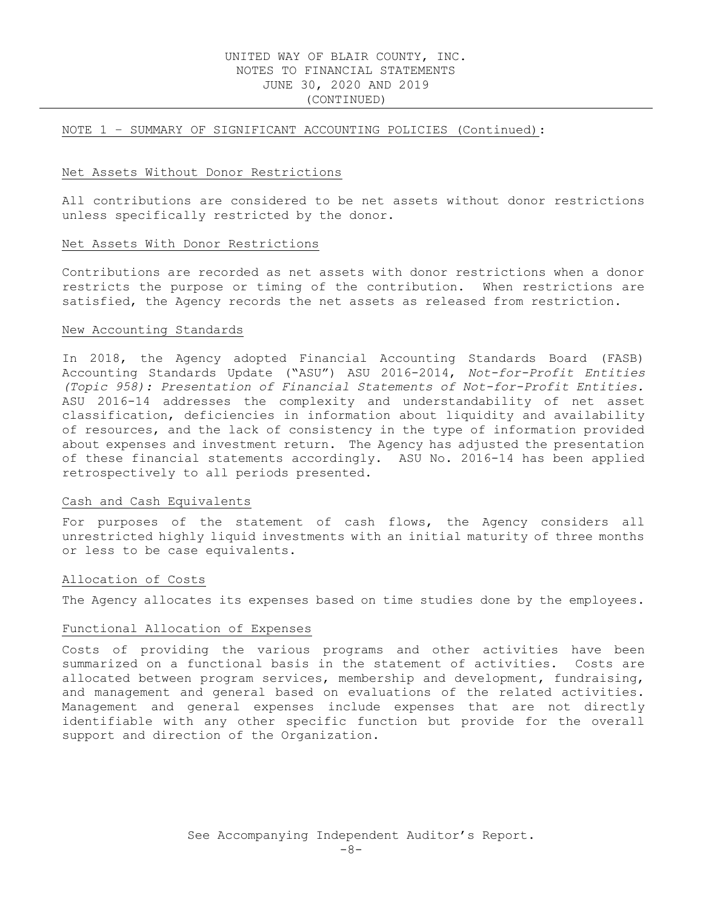# UNITED WAY OF BLAIR COUNTY, INC. NOTES TO FINANCIAL STATEMENTS JUNE 30, 2020 AND 2019 (CONTINUED)

#### NOTE 1 – SUMMARY OF SIGNIFICANT ACCOUNTING POLICIES (Continued):

#### Net Assets Without Donor Restrictions

All contributions are considered to be net assets without donor restrictions unless specifically restricted by the donor.

#### Net Assets With Donor Restrictions

Contributions are recorded as net assets with donor restrictions when a donor restricts the purpose or timing of the contribution. When restrictions are satisfied, the Agency records the net assets as released from restriction.

#### New Accounting Standards

In 2018, the Agency adopted Financial Accounting Standards Board (FASB) Accounting Standards Update ("ASU") ASU 2016-2014, Not-for-Profit Entities (Topic 958): Presentation of Financial Statements of Not-for-Profit Entities. ASU 2016-14 addresses the complexity and understandability of net asset classification, deficiencies in information about liquidity and availability of resources, and the lack of consistency in the type of information provided about expenses and investment return. The Agency has adjusted the presentation of these financial statements accordingly. ASU No. 2016-14 has been applied retrospectively to all periods presented.

#### Cash and Cash Equivalents

For purposes of the statement of cash flows, the Agency considers all unrestricted highly liquid investments with an initial maturity of three months or less to be case equivalents.

#### Allocation of Costs

The Agency allocates its expenses based on time studies done by the employees.

#### Functional Allocation of Expenses

Costs of providing the various programs and other activities have been summarized on a functional basis in the statement of activities. Costs are allocated between program services, membership and development, fundraising, and management and general based on evaluations of the related activities. Management and general expenses include expenses that are not directly identifiable with any other specific function but provide for the overall support and direction of the Organization.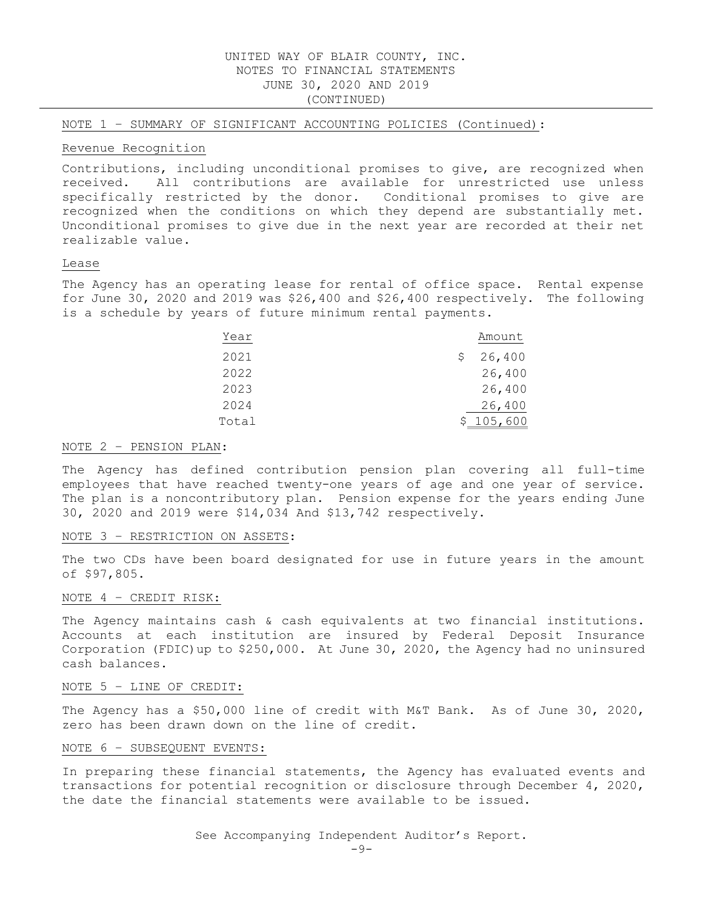# UNITED WAY OF BLAIR COUNTY, INC. NOTES TO FINANCIAL STATEMENTS JUNE 30, 2020 AND 2019 (CONTINUED)

NOTE 1 – SUMMARY OF SIGNIFICANT ACCOUNTING POLICIES (Continued):

#### Revenue Recognition

Contributions, including unconditional promises to give, are recognized when received. All contributions are available for unrestricted use unless specifically restricted by the donor. Conditional promises to give are recognized when the conditions on which they depend are substantially met. Unconditional promises to give due in the next year are recorded at their net realizable value.

### Lease

The Agency has an operating lease for rental of office space. Rental expense for June 30, 2020 and 2019 was \$26,400 and \$26,400 respectively. The following is a schedule by years of future minimum rental payments.

| Year  | Amount      |
|-------|-------------|
| 2021  | 26,400<br>S |
| 2022  | 26,400      |
| 2023  | 26,400      |
| 2024  | 26,400      |
| Total | 105,600     |

#### NOTE 2 – PENSION PLAN:

The Agency has defined contribution pension plan covering all full-time employees that have reached twenty-one years of age and one year of service. The plan is a noncontributory plan. Pension expense for the years ending June 30, 2020 and 2019 were \$14,034 And \$13,742 respectively.

#### NOTE 3 – RESTRICTION ON ASSETS:

The two CDs have been board designated for use in future years in the amount of \$97,805.

#### NOTE 4 – CREDIT RISK:

The Agency maintains cash & cash equivalents at two financial institutions. Accounts at each institution are insured by Federal Deposit Insurance Corporation (FDIC)up to \$250,000. At June 30, 2020, the Agency had no uninsured cash balances.

#### NOTE 5 – LINE OF CREDIT:

The Agency has a \$50,000 line of credit with M&T Bank. As of June 30, 2020, zero has been drawn down on the line of credit.

#### NOTE 6 – SUBSEQUENT EVENTS:

In preparing these financial statements, the Agency has evaluated events and transactions for potential recognition or disclosure through December 4, 2020, the date the financial statements were available to be issued.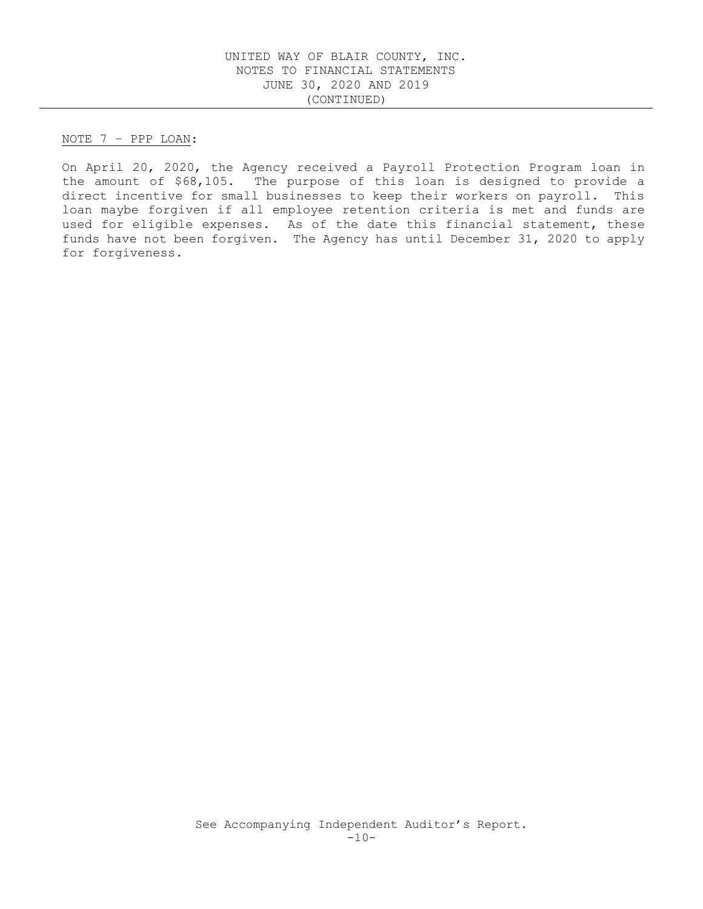NOTE 7 – PPP LOAN:

On April 20, 2020, the Agency received a Payroll Protection Program loan in the amount of \$68,105. The purpose of this loan is designed to provide a direct incentive for small businesses to keep their workers on payroll. This loan maybe forgiven if all employee retention criteria is met and funds are used for eligible expenses. As of the date this financial statement, these funds have not been forgiven. The Agency has until December 31, 2020 to apply for forgiveness.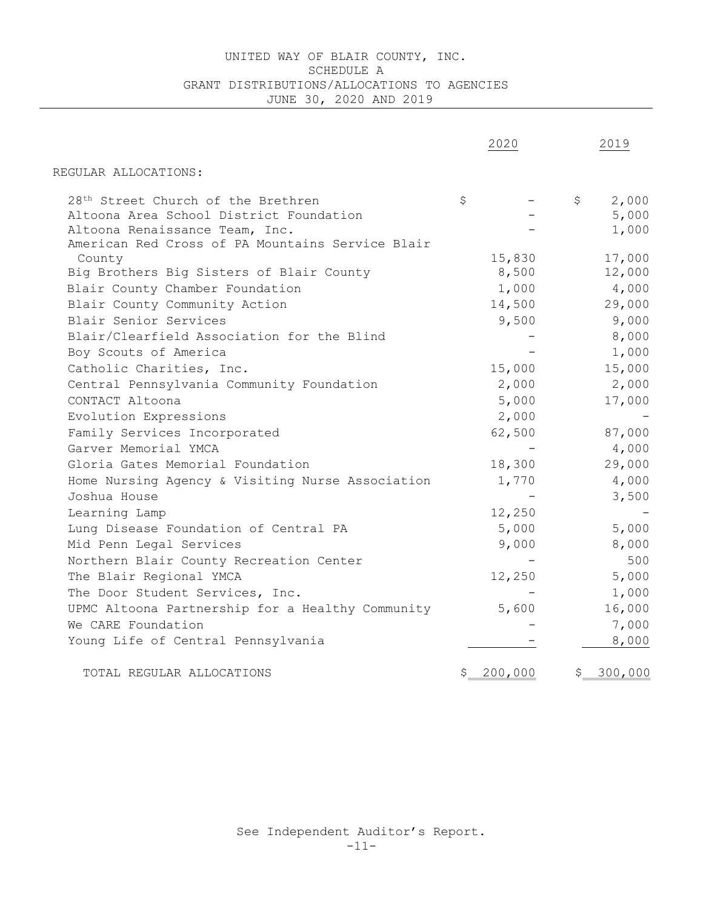# UNITED WAY OF BLAIR COUNTY, INC. SCHEDULE A GRANT DISTRIBUTIONS/ALLOCATIONS TO AGENCIES JUNE 30, 2020 AND 2019

|                                                                                                                                                                                 | 2020                     | 2019                                    |
|---------------------------------------------------------------------------------------------------------------------------------------------------------------------------------|--------------------------|-----------------------------------------|
| REGULAR ALLOCATIONS:                                                                                                                                                            |                          |                                         |
| 28 <sup>th</sup> Street Church of the Brethren<br>Altoona Area School District Foundation<br>Altoona Renaissance Team, Inc.<br>American Red Cross of PA Mountains Service Blair | \$                       | 2,000<br>$\mathsf{S}$<br>5,000<br>1,000 |
| County<br>Big Brothers Big Sisters of Blair County<br>Blair County Chamber Foundation                                                                                           | 15,830<br>8,500<br>1,000 | 17,000<br>12,000<br>4,000               |
| Blair County Community Action<br>Blair Senior Services                                                                                                                          | 14,500<br>9,500          | 29,000<br>9,000<br>8,000                |
| Blair/Clearfield Association for the Blind<br>Boy Scouts of America<br>Catholic Charities, Inc.                                                                                 | 15,000                   | 1,000<br>15,000                         |
| Central Pennsylvania Community Foundation<br>CONTACT Altoona<br>Evolution Expressions                                                                                           | 2,000<br>5,000<br>2,000  | 2,000<br>17,000                         |
| Family Services Incorporated<br>Garver Memorial YMCA<br>Gloria Gates Memorial Foundation                                                                                        | 62,500<br>18,300         | 87,000<br>4,000<br>29,000               |
| Home Nursing Agency & Visiting Nurse Association<br>Joshua House                                                                                                                | 1,770                    | 4,000<br>3,500                          |
| Learning Lamp<br>Lung Disease Foundation of Central PA<br>Mid Penn Legal Services                                                                                               | 12,250<br>5,000<br>9,000 | 5,000<br>8,000                          |
| Northern Blair County Recreation Center<br>The Blair Regional YMCA                                                                                                              | 12,250                   | 500<br>5,000                            |
| The Door Student Services, Inc.<br>UPMC Altoona Partnership for a Healthy Community<br>We CARE Foundation                                                                       | 5,600                    | 1,000<br>16,000<br>7,000                |
| Young Life of Central Pennsylvania                                                                                                                                              |                          | 8,000                                   |
| TOTAL REGULAR ALLOCATIONS                                                                                                                                                       | 200,000<br>\$            | 300,000<br>\$.                          |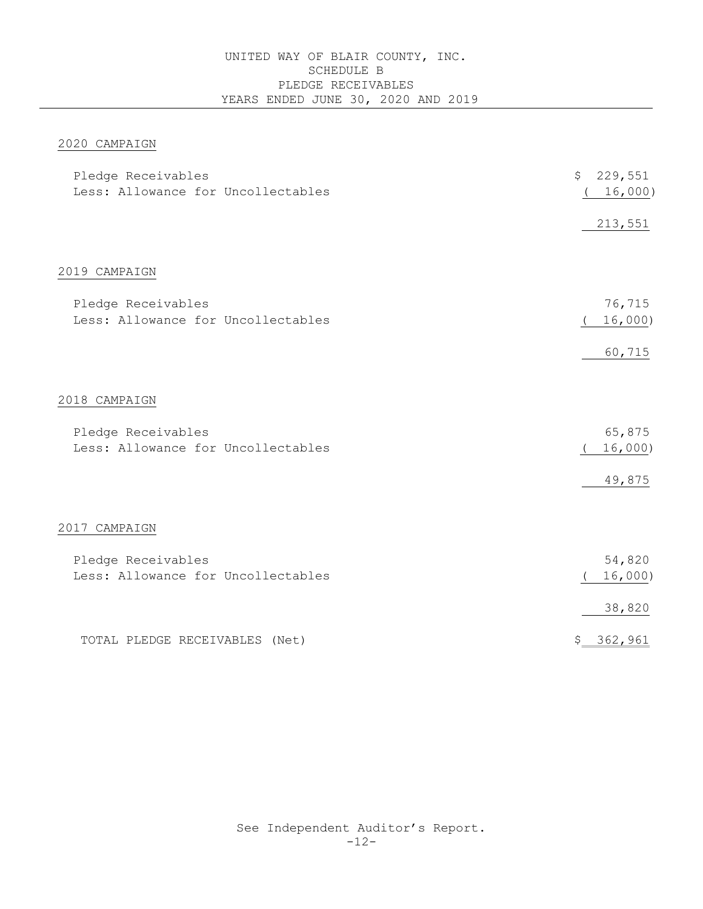# UNITED WAY OF BLAIR COUNTY, INC. SCHEDULE B PLEDGE RECEIVABLES YEARS ENDED JUNE 30, 2020 AND 2019

# 2020 CAMPAIGN

| Pledge Receivables<br>Less: Allowance for Uncollectables | \$<br>229,551<br>16,000)    |
|----------------------------------------------------------|-----------------------------|
|                                                          | 213,551                     |
| 2019 CAMPAIGN                                            |                             |
| Pledge Receivables<br>Less: Allowance for Uncollectables | 76,715<br>16,000)           |
|                                                          | 60,715                      |
| 2018 CAMPAIGN                                            |                             |
| Pledge Receivables<br>Less: Allowance for Uncollectables | 65,875<br>16,000)<br>49,875 |
| 2017 CAMPAIGN                                            |                             |
| Pledge Receivables<br>Less: Allowance for Uncollectables | 54,820<br>16,000)           |
|                                                          | 38,820                      |
| TOTAL PLEDGE RECEIVABLES (Net)                           | \$362,961                   |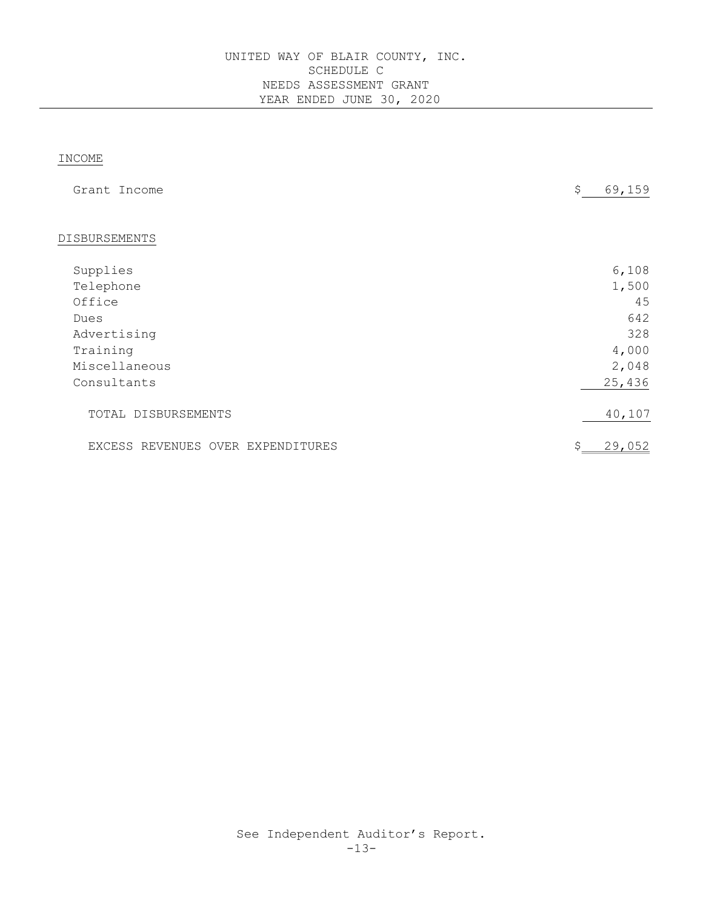# INCOME

| Grant Income                      | \$<br>69,159 |
|-----------------------------------|--------------|
|                                   |              |
| DISBURSEMENTS                     |              |
| Supplies                          | 6,108        |
| Telephone                         | 1,500        |
| Office                            | 45           |
| Dues                              | 642          |
| Advertising                       | 328          |
| Training                          | 4,000        |
| Miscellaneous                     | 2,048        |
| Consultants                       | 25,436       |
| TOTAL DISBURSEMENTS               | 40,107       |
| EXCESS REVENUES OVER EXPENDITURES | 29,052<br>\$ |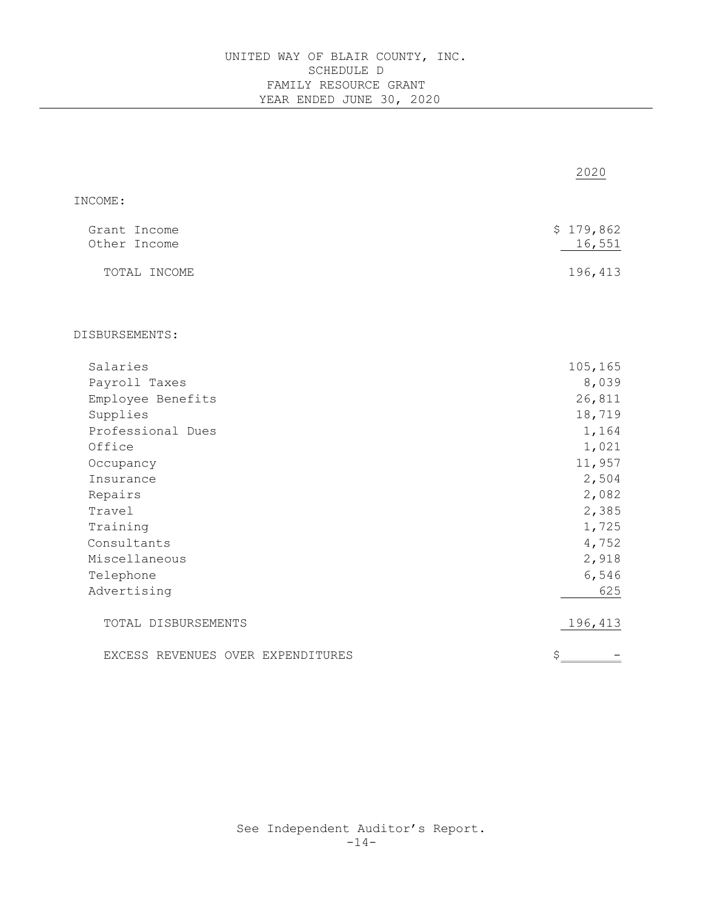|                                   | 2020      |
|-----------------------------------|-----------|
| INCOME:                           |           |
| Grant Income                      | \$179,862 |
| Other Income                      | 16,551    |
| TOTAL INCOME                      | 196,413   |
| DISBURSEMENTS:                    |           |
|                                   |           |
| Salaries                          | 105,165   |
| Payroll Taxes                     | 8,039     |
| Employee Benefits                 | 26,811    |
| Supplies                          | 18,719    |
| Professional Dues                 | 1,164     |
| Office                            | 1,021     |
| Occupancy                         | 11,957    |
| Insurance                         | 2,504     |
| Repairs                           | 2,082     |
| Travel                            | 2,385     |
| Training                          | 1,725     |
| Consultants                       | 4,752     |
| Miscellaneous                     | 2,918     |
| Telephone                         | 6,546     |
| Advertising                       | 625       |
| TOTAL DISBURSEMENTS               | 196,413   |
| EXCESS REVENUES OVER EXPENDITURES | \$        |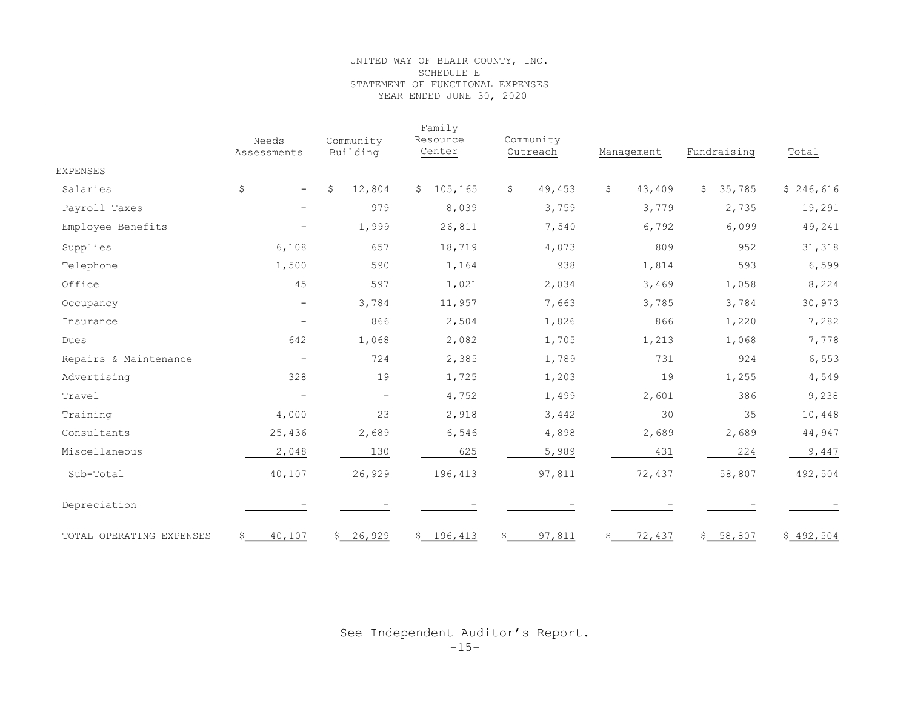#### UNITED WAY OF BLAIR COUNTY, INC. SCHEDULE E STATEMENT OF FUNCTIONAL EXPENSES YEAR ENDED JUNE 30, 2020

| Family                   |                          |                          |                    |                        |                               |              |           |
|--------------------------|--------------------------|--------------------------|--------------------|------------------------|-------------------------------|--------------|-----------|
|                          | Needs<br>Assessments     | Community<br>Building    | Resource<br>Center | Community<br>Outreach  | Management                    | Fundraising  | Total     |
| <b>EXPENSES</b>          |                          |                          |                    |                        |                               |              |           |
| Salaries                 | \$<br>$\equiv$           | 12,804<br>\$             | \$105, 165         | \$<br>49,453           | \$<br>43,409                  | 35,785<br>\$ | \$246,616 |
| Payroll Taxes            | $\overline{\phantom{m}}$ | 979                      | 8,039              | 3,759                  | 3,779                         | 2,735        | 19,291    |
| Employee Benefits        | $\qquad \qquad -$        | 1,999                    | 26,811             | 7,540                  | 6,792                         | 6,099        | 49,241    |
| Supplies                 | 6,108                    | 657                      | 18,719             | 4,073                  | 809                           | 952          | 31,318    |
| Telephone                | 1,500                    | 590                      | 1,164              | 938                    | 1,814                         | 593          | 6,599     |
| Office                   | 45                       | 597                      | 1,021              | 2,034                  | 3,469                         | 1,058        | 8,224     |
| Occupancy                | $\overline{\phantom{m}}$ | 3,784                    | 11,957             | 7,663                  | 3,785                         | 3,784        | 30,973    |
| Insurance                | $\overline{\phantom{a}}$ | 866                      | 2,504              | 1,826                  | 866                           | 1,220        | 7,282     |
| Dues                     | 642                      | 1,068                    | 2,082              | 1,705                  | 1,213                         | 1,068        | 7,778     |
| Repairs & Maintenance    | $\equiv$                 | 724                      | 2,385              | 1,789                  | 731                           | 924          | 6,553     |
| Advertising              | 328                      | 19                       | 1,725              | 1,203                  | 19                            | 1,255        | 4,549     |
| Travel                   | $\overline{\phantom{a}}$ | $\overline{\phantom{a}}$ | 4,752              | 1,499                  | 2,601                         | 386          | 9,238     |
| Training                 | 4,000                    | 23                       | 2,918              | 3,442                  | 30                            | 35           | 10,448    |
| Consultants              | 25,436                   | 2,689                    | 6,546              | 4,898                  | 2,689                         | 2,689        | 44,947    |
| Miscellaneous            | 2,048                    | 130                      | 625                | 5,989                  | 431                           | 224          | 9,447     |
| Sub-Total                | 40,107                   | 26,929                   | 196,413            | 97,811                 | 72,437                        | 58,807       | 492,504   |
| Depreciation             |                          |                          |                    |                        |                               |              |           |
| TOTAL OPERATING EXPENSES | 40,107<br>\$             | \$ 26,929                | \$196,413          | $\mathsf{S}$<br>97,811 | $\ddot{\mathsf{S}}$<br>72,437 | \$ 58,807    | \$492,504 |

See Independent Auditor's Report.  $-15-$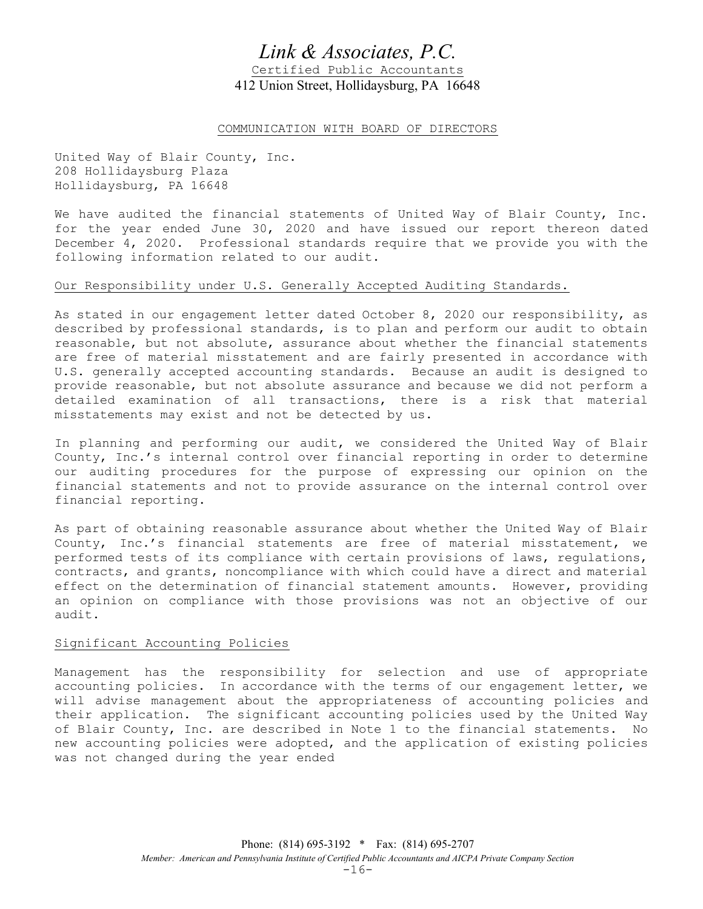# Link & Associates, P.C.

Certified Public Accountants 412 Union Street, Hollidaysburg, PA 16648

## COMMUNICATION WITH BOARD OF DIRECTORS

United Way of Blair County, Inc. 208 Hollidaysburg Plaza Hollidaysburg, PA 16648

We have audited the financial statements of United Way of Blair County, Inc. for the year ended June 30, 2020 and have issued our report thereon dated December 4, 2020. Professional standards require that we provide you with the following information related to our audit.

## Our Responsibility under U.S. Generally Accepted Auditing Standards.

As stated in our engagement letter dated October 8, 2020 our responsibility, as described by professional standards, is to plan and perform our audit to obtain reasonable, but not absolute, assurance about whether the financial statements are free of material misstatement and are fairly presented in accordance with U.S. generally accepted accounting standards. Because an audit is designed to provide reasonable, but not absolute assurance and because we did not perform a detailed examination of all transactions, there is a risk that material misstatements may exist and not be detected by us.

In planning and performing our audit, we considered the United Way of Blair County, Inc.'s internal control over financial reporting in order to determine our auditing procedures for the purpose of expressing our opinion on the financial statements and not to provide assurance on the internal control over financial reporting.

As part of obtaining reasonable assurance about whether the United Way of Blair County, Inc.'s financial statements are free of material misstatement, we performed tests of its compliance with certain provisions of laws, regulations, contracts, and grants, noncompliance with which could have a direct and material effect on the determination of financial statement amounts. However, providing an opinion on compliance with those provisions was not an objective of our audit.

# Significant Accounting Policies

Management has the responsibility for selection and use of appropriate accounting policies. In accordance with the terms of our engagement letter, we will advise management about the appropriateness of accounting policies and their application. The significant accounting policies used by the United Way of Blair County, Inc. are described in Note 1 to the financial statements. No new accounting policies were adopted, and the application of existing policies was not changed during the year ended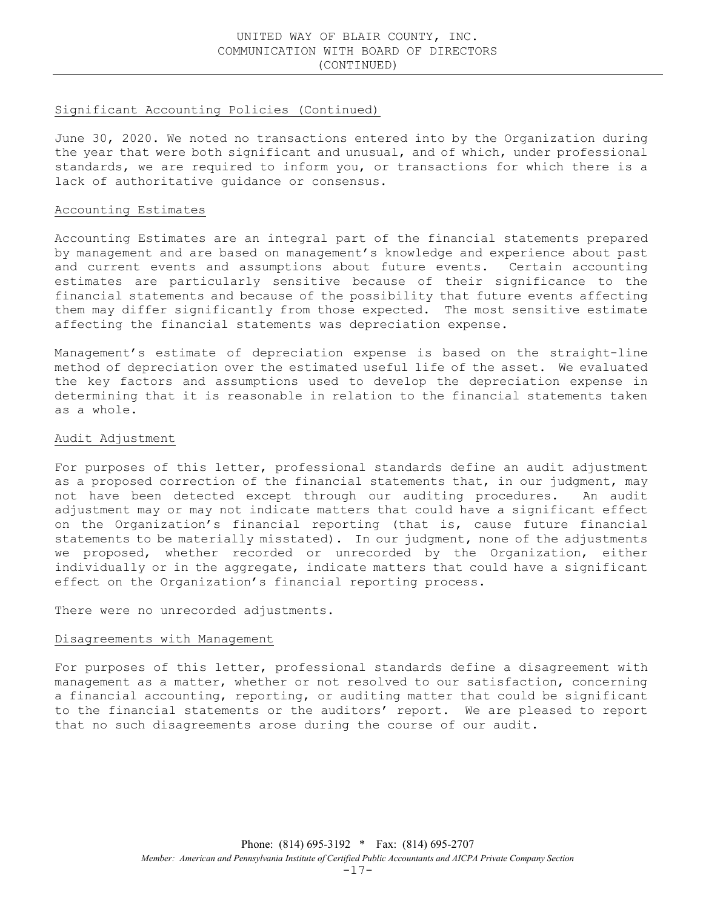## Significant Accounting Policies (Continued)

June 30, 2020. We noted no transactions entered into by the Organization during the year that were both significant and unusual, and of which, under professional standards, we are required to inform you, or transactions for which there is a lack of authoritative guidance or consensus.

#### Accounting Estimates

Accounting Estimates are an integral part of the financial statements prepared by management and are based on management's knowledge and experience about past and current events and assumptions about future events. Certain accounting estimates are particularly sensitive because of their significance to the financial statements and because of the possibility that future events affecting them may differ significantly from those expected. The most sensitive estimate affecting the financial statements was depreciation expense.

Management's estimate of depreciation expense is based on the straight-line method of depreciation over the estimated useful life of the asset. We evaluated the key factors and assumptions used to develop the depreciation expense in determining that it is reasonable in relation to the financial statements taken as a whole.

#### Audit Adjustment

For purposes of this letter, professional standards define an audit adjustment as a proposed correction of the financial statements that, in our judgment, may not have been detected except through our auditing procedures. An audit adjustment may or may not indicate matters that could have a significant effect on the Organization's financial reporting (that is, cause future financial statements to be materially misstated). In our judgment, none of the adjustments we proposed, whether recorded or unrecorded by the Organization, either individually or in the aggregate, indicate matters that could have a significant effect on the Organization's financial reporting process.

There were no unrecorded adjustments.

## Disagreements with Management

For purposes of this letter, professional standards define a disagreement with management as a matter, whether or not resolved to our satisfaction, concerning a financial accounting, reporting, or auditing matter that could be significant to the financial statements or the auditors' report. We are pleased to report that no such disagreements arose during the course of our audit.